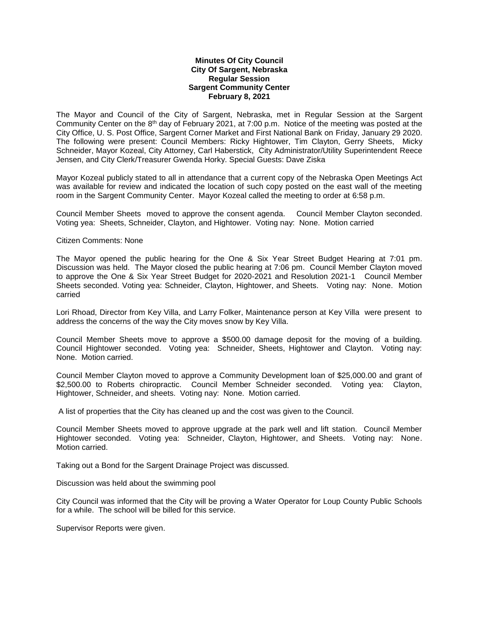## **Minutes Of City Council City Of Sargent, Nebraska Regular Session Sargent Community Center February 8, 2021**

The Mayor and Council of the City of Sargent, Nebraska, met in Regular Session at the Sargent Community Center on the 8th day of February 2021, at 7:00 p.m. Notice of the meeting was posted at the City Office, U. S. Post Office, Sargent Corner Market and First National Bank on Friday, January 29 2020. The following were present: Council Members: Ricky Hightower, Tim Clayton, Gerry Sheets, Micky Schneider, Mayor Kozeal, City Attorney, Carl Haberstick, City Administrator/Utility Superintendent Reece Jensen, and City Clerk/Treasurer Gwenda Horky. Special Guests: Dave Ziska

Mayor Kozeal publicly stated to all in attendance that a current copy of the Nebraska Open Meetings Act was available for review and indicated the location of such copy posted on the east wall of the meeting room in the Sargent Community Center. Mayor Kozeal called the meeting to order at 6:58 p.m.

Council Member Sheets moved to approve the consent agenda. Council Member Clayton seconded. Voting yea: Sheets, Schneider, Clayton, and Hightower. Voting nay: None. Motion carried

## Citizen Comments: None

The Mayor opened the public hearing for the One & Six Year Street Budget Hearing at 7:01 pm. Discussion was held. The Mayor closed the public hearing at 7:06 pm. Council Member Clayton moved to approve the One & Six Year Street Budget for 2020-2021 and Resolution 2021-1 Council Member Sheets seconded. Voting yea: Schneider, Clayton, Hightower, and Sheets. Voting nay: None. Motion carried

Lori Rhoad, Director from Key Villa, and Larry Folker, Maintenance person at Key Villa were present to address the concerns of the way the City moves snow by Key Villa.

Council Member Sheets move to approve a \$500.00 damage deposit for the moving of a building. Council Hightower seconded. Voting yea: Schneider, Sheets, Hightower and Clayton. Voting nay: None. Motion carried.

Council Member Clayton moved to approve a Community Development loan of \$25,000.00 and grant of \$2,500.00 to Roberts chiropractic. Council Member Schneider seconded. Voting yea: Clayton, Hightower, Schneider, and sheets. Voting nay: None. Motion carried.

A list of properties that the City has cleaned up and the cost was given to the Council.

Council Member Sheets moved to approve upgrade at the park well and lift station. Council Member Hightower seconded. Voting yea: Schneider, Clayton, Hightower, and Sheets. Voting nay: None. Motion carried.

Taking out a Bond for the Sargent Drainage Project was discussed.

Discussion was held about the swimming pool

City Council was informed that the City will be proving a Water Operator for Loup County Public Schools for a while. The school will be billed for this service.

Supervisor Reports were given.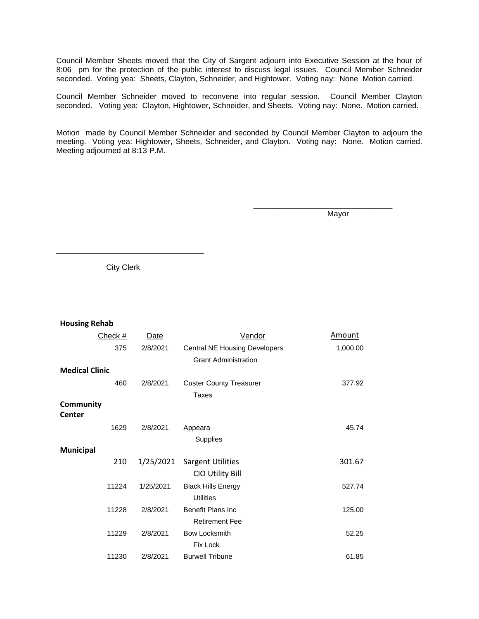Council Member Sheets moved that the City of Sargent adjourn into Executive Session at the hour of 8:06 pm for the protection of the public interest to discuss legal issues. Council Member Schneider seconded. Voting yea: Sheets, Clayton, Schneider, and Hightower. Voting nay: None Motion carried.

Council Member Schneider moved to reconvene into regular session. Council Member Clayton seconded. Voting yea: Clayton, Hightower, Schneider, and Sheets. Voting nay: None. Motion carried.

Motion made by Council Member Schneider and seconded by Council Member Clayton to adjourn the meeting. Voting yea: Hightower, Sheets, Schneider, and Clayton. Voting nay: None. Motion carried. Meeting adjourned at 8:13 P.M.

Mayor

\_\_\_\_\_\_\_\_\_\_\_\_\_\_\_\_\_\_\_\_\_\_\_\_\_\_\_\_\_\_\_\_

City Clerk

\_\_\_\_\_\_\_\_\_\_\_\_\_\_\_\_\_\_\_\_\_\_\_\_\_\_\_\_\_\_\_\_\_\_

## **Housing Rehab**

| Check #               | Date      | Vendor                                        | <b>Amount</b> |
|-----------------------|-----------|-----------------------------------------------|---------------|
| 375                   | 2/8/2021  | <b>Central NE Housing Developers</b>          | 1,000.00      |
|                       |           | <b>Grant Administration</b>                   |               |
| <b>Medical Clinic</b> |           |                                               |               |
| 460                   | 2/8/2021  | <b>Custer County Treasurer</b>                | 377.92        |
|                       |           | Taxes                                         |               |
| Community<br>Center   |           |                                               |               |
| 1629                  | 2/8/2021  | Appeara                                       | 45.74         |
|                       |           | Supplies                                      |               |
| <b>Municipal</b>      |           |                                               |               |
| 210                   | 1/25/2021 | <b>Sargent Utilities</b><br>CIO Utility Bill  | 301.67        |
| 11224                 | 1/25/2021 | <b>Black Hills Energy</b><br><b>Utilities</b> | 527.74        |
| 11228                 | 2/8/2021  | Benefit Plans Inc<br><b>Retirement Fee</b>    | 125.00        |
| 11229                 | 2/8/2021  | <b>Bow Locksmith</b><br>Fix Lock              | 52.25         |
| 11230                 | 2/8/2021  | <b>Burwell Tribune</b>                        | 61.85         |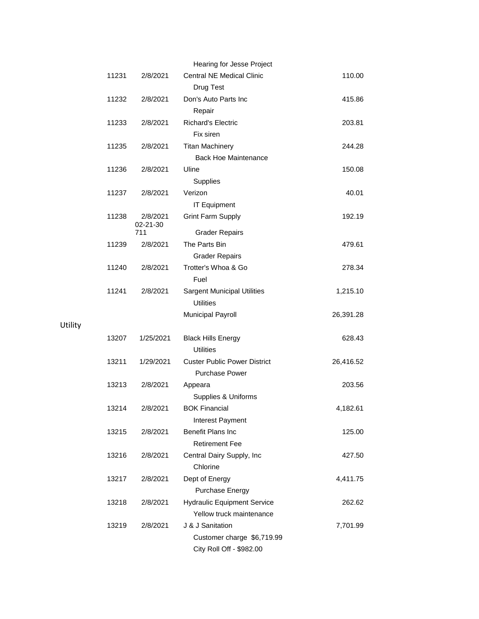|       |                 | Hearing for Jesse Project           |           |
|-------|-----------------|-------------------------------------|-----------|
| 11231 | 2/8/2021        | <b>Central NE Medical Clinic</b>    | 110.00    |
|       |                 | Drug Test                           |           |
| 11232 | 2/8/2021        | Don's Auto Parts Inc                | 415.86    |
|       |                 | Repair                              |           |
| 11233 | 2/8/2021        | <b>Richard's Electric</b>           | 203.81    |
|       |                 | Fix siren                           |           |
| 11235 | 2/8/2021        | <b>Titan Machinery</b>              | 244.28    |
|       |                 | <b>Back Hoe Maintenance</b>         |           |
| 11236 | 2/8/2021        | Uline                               | 150.08    |
|       |                 | Supplies                            |           |
| 11237 | 2/8/2021        | Verizon                             | 40.01     |
|       |                 | <b>IT Equipment</b>                 |           |
| 11238 | 2/8/2021        | <b>Grint Farm Supply</b>            | 192.19    |
|       | 02-21-30<br>711 | <b>Grader Repairs</b>               |           |
| 11239 | 2/8/2021        | The Parts Bin                       | 479.61    |
|       |                 | <b>Grader Repairs</b>               |           |
| 11240 | 2/8/2021        | Trotter's Whoa & Go                 | 278.34    |
|       |                 | Fuel                                |           |
| 11241 | 2/8/2021        | <b>Sargent Municipal Utilities</b>  | 1,215.10  |
|       |                 | <b>Utilities</b>                    |           |
|       |                 | Municipal Payroll                   | 26,391.28 |
|       |                 |                                     |           |
| 13207 | 1/25/2021       | <b>Black Hills Energy</b>           | 628.43    |
|       |                 | <b>Utilities</b>                    |           |
| 13211 | 1/29/2021       | <b>Custer Public Power District</b> | 26,416.52 |
|       |                 | <b>Purchase Power</b>               |           |
| 13213 | 2/8/2021        | Appeara                             | 203.56    |
|       |                 | Supplies & Uniforms                 |           |
| 13214 | 2/8/2021        | <b>BOK Financial</b>                | 4,182.61  |
|       |                 | Interest Payment                    |           |
| 13215 | 2/8/2021        | <b>Benefit Plans Inc</b>            | 125.00    |
|       |                 | <b>Retirement Fee</b>               |           |
| 13216 | 2/8/2021        | Central Dairy Supply, Inc           | 427.50    |
|       |                 | Chlorine                            |           |
| 13217 | 2/8/2021        | Dept of Energy                      | 4,411.75  |
|       |                 | Purchase Energy                     |           |
| 13218 | 2/8/2021        | <b>Hydraulic Equipment Service</b>  | 262.62    |
|       |                 | Yellow truck maintenance            |           |
| 13219 | 2/8/2021        | J & J Sanitation                    | 7,701.99  |
|       |                 | Customer charge \$6,719.99          |           |
|       |                 | City Roll Off - \$982.00            |           |

Utility